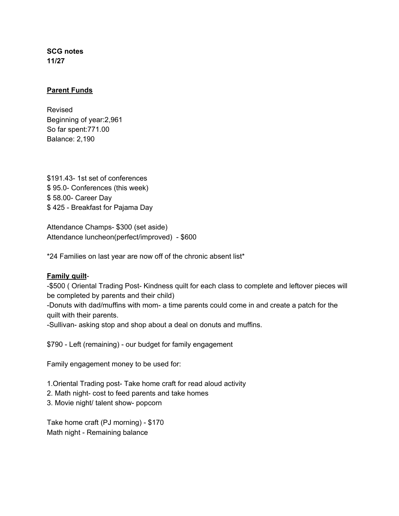**SCG notes 11/27**

## **Parent Funds**

Revised Beginning of year:2,961 So far spent:771.00 Balance: 2,190

\$191.43- 1st set of conferences \$ 95.0- Conferences (this week) \$ 58.00- Career Day \$ 425 - Breakfast for Pajama Day

Attendance Champs- \$300 (set aside) Attendance luncheon(perfect/improved) - \$600

\*24 Families on last year are now off of the chronic absent list\*

## **Family quilt**-

-\$500 ( Oriental Trading Post- Kindness quilt for each class to complete and leftover pieces will be completed by parents and their child)

-Donuts with dad/muffins with mom- a time parents could come in and create a patch for the quilt with their parents.

-Sullivan- asking stop and shop about a deal on donuts and muffins.

\$790 - Left (remaining) - our budget for family engagement

Family engagement money to be used for:

- 1.Oriental Trading post- Take home craft for read aloud activity
- 2. Math night- cost to feed parents and take homes
- 3. Movie night/ talent show- popcorn

Take home craft (PJ morning) - \$170 Math night - Remaining balance